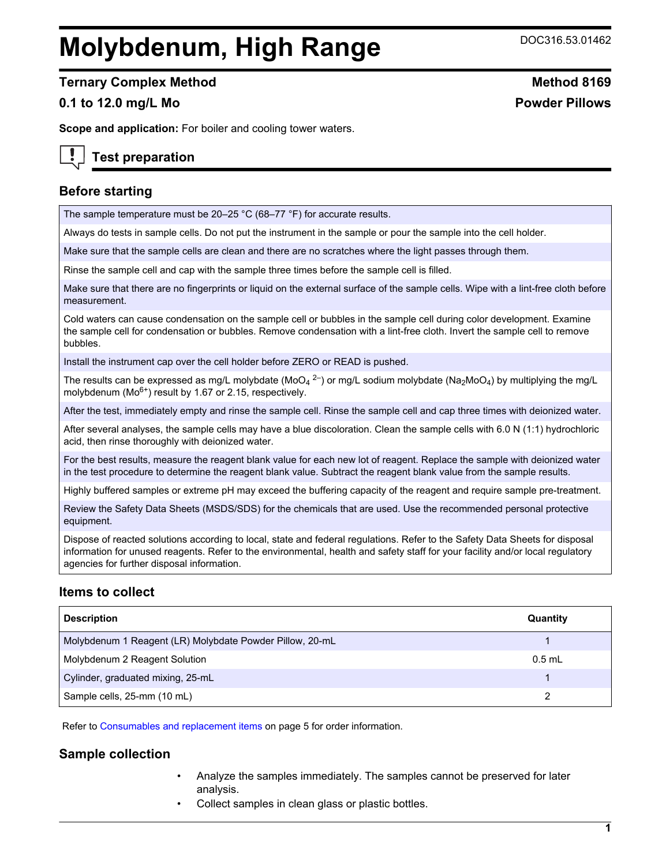# **Molybdenum, High Range** DOC316.53.01462

**Ternary Complex Method Method Method 8169** 

# **0.1 to 12.0 mg/L Mo Powder Pillows**

**Scope and application:** For boiler and cooling tower waters.

# **Test preparation**

# **Before starting**

The sample temperature must be 20–25 °C (68–77 °F) for accurate results.

Always do tests in sample cells. Do not put the instrument in the sample or pour the sample into the cell holder.

Make sure that the sample cells are clean and there are no scratches where the light passes through them.

Rinse the sample cell and cap with the sample three times before the sample cell is filled.

Make sure that there are no fingerprints or liquid on the external surface of the sample cells. Wipe with a lint-free cloth before measurement.

Cold waters can cause condensation on the sample cell or bubbles in the sample cell during color development. Examine the sample cell for condensation or bubbles. Remove condensation with a lint-free cloth. Invert the sample cell to remove bubbles.

Install the instrument cap over the cell holder before ZERO or READ is pushed.

The results can be expressed as mg/L molybdate (MoO<sub>4</sub> <sup>2–</sup>) or mg/L sodium molybdate (Na<sub>2</sub>MoO<sub>4</sub>) by multiplying the mg/L molybdenum ( $Mo<sup>6+</sup>$ ) result by 1.67 or 2.15, respectively.

After the test, immediately empty and rinse the sample cell. Rinse the sample cell and cap three times with deionized water.

After several analyses, the sample cells may have a blue discoloration. Clean the sample cells with 6.0 N (1:1) hydrochloric acid, then rinse thoroughly with deionized water.

For the best results, measure the reagent blank value for each new lot of reagent. Replace the sample with deionized water in the test procedure to determine the reagent blank value. Subtract the reagent blank value from the sample results.

Highly buffered samples or extreme pH may exceed the buffering capacity of the reagent and require sample pre-treatment.

Review the Safety Data Sheets (MSDS/SDS) for the chemicals that are used. Use the recommended personal protective equipment.

Dispose of reacted solutions according to local, state and federal regulations. Refer to the Safety Data Sheets for disposal information for unused reagents. Refer to the environmental, health and safety staff for your facility and/or local regulatory agencies for further disposal information.

# **Items to collect**

| <b>Description</b>                                       | Quantity |
|----------------------------------------------------------|----------|
| Molybdenum 1 Reagent (LR) Molybdate Powder Pillow, 20-mL |          |
| Molybdenum 2 Reagent Solution                            | $0.5$ mL |
| Cylinder, graduated mixing, 25-mL                        |          |
| Sample cells, 25-mm (10 mL)                              |          |

Refer to [Consumables and replacement items](#page-4-0) on page 5 for order information.

# **Sample collection**

- Analyze the samples immediately. The samples cannot be preserved for later analysis.
- Collect samples in clean glass or plastic bottles.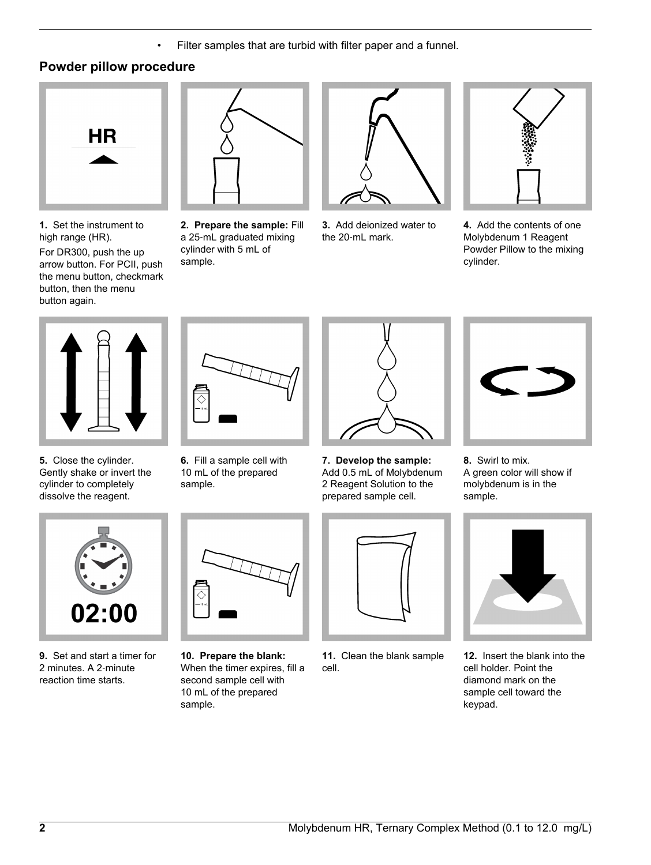• Filter samples that are turbid with filter paper and a funnel.

# **Powder pillow procedure**



**1.** Set the instrument to high range (HR).

For DR300, push the up arrow button. For PCII, push the menu button, checkmark button, then the menu button again.



**2. Prepare the sample:** Fill a 25‑mL graduated mixing cylinder with 5 mL of sample.



**3.** Add deionized water to the 20-mL mark.



**4.** Add the contents of one Molybdenum 1 Reagent Powder Pillow to the mixing cylinder.



**5.** Close the cylinder. Gently shake or invert the cylinder to completely dissolve the reagent.



**6.** Fill a sample cell with 10 mL of the prepared sample.



**7. Develop the sample:** Add 0.5 mL of Molybdenum 2 Reagent Solution to the prepared sample cell.





- 02:00
- **9.** Set and start a timer for 2 minutes. A 2‑minute reaction time starts.



- **10. Prepare the blank:** When the timer expires, fill a second sample cell with 10 mL of the prepared sample.
- **11.** Clean the blank sample cell.

**12.** Insert the blank into the cell holder. Point the diamond mark on the sample cell toward the keypad.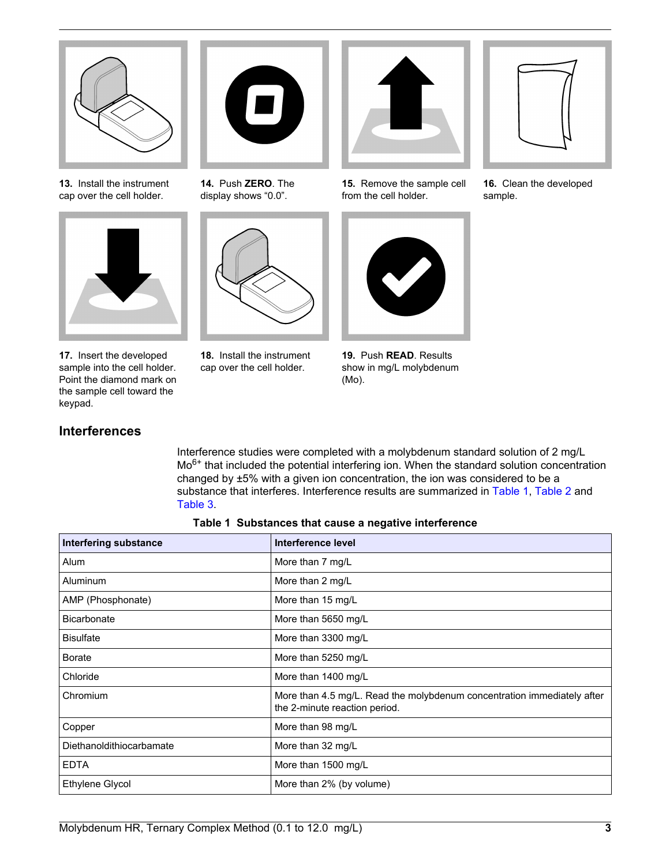

**13.** Install the instrument cap over the cell holder.



**17.** Insert the developed sample into the cell holder. Point the diamond mark on the sample cell toward the keypad.

**Interferences**

# $\blacksquare$

**14.** Push **ZERO**. The display shows "0.0".



**18.** Install the instrument cap over the cell holder.



**15.** Remove the sample cell from the cell holder.



**19.** Push **READ**. Results show in mg/L molybdenum (Mo).

Interference studies were completed with a molybdenum standard solution of 2 mg/L Mo6+ that included the potential interfering ion. When the standard solution concentration

changed by ±5% with a given ion concentration, the ion was considered to be a substance that interferes. Interference results are summarized in Table 1, [Table 2](#page-3-0) and



**16.** Clean the developed sample.

| Table 1 Substances that cause a negative interference |                                                                                                          |  |  |
|-------------------------------------------------------|----------------------------------------------------------------------------------------------------------|--|--|
| <b>Interfering substance</b>                          | Interference level                                                                                       |  |  |
| Alum                                                  | More than 7 mg/L                                                                                         |  |  |
| Aluminum                                              | More than 2 mg/L                                                                                         |  |  |
| AMP (Phosphonate)                                     | More than 15 mg/L                                                                                        |  |  |
| <b>Bicarbonate</b>                                    | More than 5650 mg/L                                                                                      |  |  |
| <b>Bisulfate</b>                                      | More than 3300 mg/L                                                                                      |  |  |
| <b>Borate</b>                                         | More than 5250 mg/L                                                                                      |  |  |
| Chloride                                              | More than 1400 mg/L                                                                                      |  |  |
| Chromium                                              | More than 4.5 mg/L. Read the molybdenum concentration immediately after<br>the 2-minute reaction period. |  |  |
| Copper                                                | More than 98 mg/L                                                                                        |  |  |
| Diethanoldithiocarbamate                              | More than 32 mg/L                                                                                        |  |  |
| <b>EDTA</b>                                           | More than 1500 mg/L                                                                                      |  |  |
| Ethylene Glycol                                       | More than 2% (by volume)                                                                                 |  |  |

[Table 3](#page-3-0).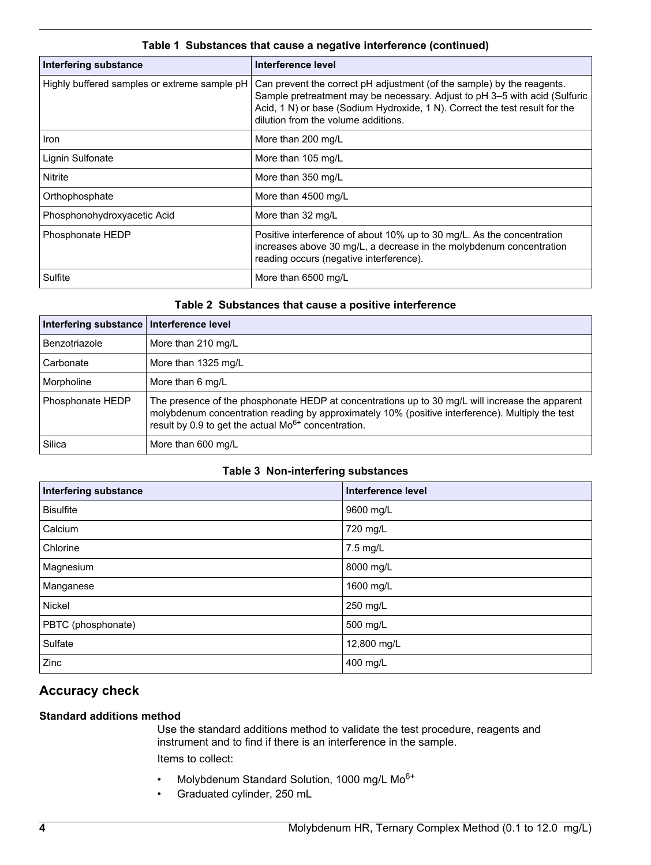<span id="page-3-0"></span>

| <b>Interfering substance</b>                 | Interference level                                                                                                                                                                                                                                                         |
|----------------------------------------------|----------------------------------------------------------------------------------------------------------------------------------------------------------------------------------------------------------------------------------------------------------------------------|
| Highly buffered samples or extreme sample pH | Can prevent the correct pH adjustment (of the sample) by the reagents.<br>Sample pretreatment may be necessary. Adjust to pH 3-5 with acid (Sulfuric<br>Acid, 1 N) or base (Sodium Hydroxide, 1 N). Correct the test result for the<br>dilution from the volume additions. |
| <b>Iron</b>                                  | More than 200 mg/L                                                                                                                                                                                                                                                         |
| Lignin Sulfonate                             | More than 105 mg/L                                                                                                                                                                                                                                                         |
| Nitrite                                      | More than 350 mg/L                                                                                                                                                                                                                                                         |
| Orthophosphate                               | More than 4500 mg/L                                                                                                                                                                                                                                                        |
| Phosphonohydroxyacetic Acid                  | More than 32 mg/L                                                                                                                                                                                                                                                          |
| Phosphonate HEDP                             | Positive interference of about 10% up to 30 mg/L. As the concentration<br>increases above 30 mg/L, a decrease in the molybdenum concentration<br>reading occurs (negative interference).                                                                                   |
| Sulfite                                      | More than 6500 mg/L                                                                                                                                                                                                                                                        |

# **Table 1 Substances that cause a negative interference (continued)**

# **Table 2 Substances that cause a positive interference**

| Interfering substance   Interference level |                                                                                                                                                                                                                                                                        |
|--------------------------------------------|------------------------------------------------------------------------------------------------------------------------------------------------------------------------------------------------------------------------------------------------------------------------|
| Benzotriazole                              | More than 210 mg/L                                                                                                                                                                                                                                                     |
| Carbonate                                  | More than 1325 mg/L                                                                                                                                                                                                                                                    |
| Morpholine                                 | More than 6 mg/L                                                                                                                                                                                                                                                       |
| Phosphonate HEDP                           | The presence of the phosphonate HEDP at concentrations up to 30 mg/L will increase the apparent<br>molybdenum concentration reading by approximately 10% (positive interference). Multiply the test<br>result by 0.9 to get the actual Mo <sup>6+</sup> concentration. |
| Silica                                     | More than 600 mg/L                                                                                                                                                                                                                                                     |

# **Table 3 Non-interfering substances**

| <b>Interfering substance</b> | Interference level |
|------------------------------|--------------------|
| <b>Bisulfite</b>             | 9600 mg/L          |
| Calcium                      | 720 mg/L           |
| Chlorine                     | 7.5 mg/L           |
| Magnesium                    | 8000 mg/L          |
| Manganese                    | 1600 mg/L          |
| Nickel                       | 250 mg/L           |
| PBTC (phosphonate)           | 500 mg/L           |
| Sulfate                      | 12,800 mg/L        |
| Zinc                         | 400 mg/L           |

# **Accuracy check**

# **Standard additions method**

Use the standard additions method to validate the test procedure, reagents and instrument and to find if there is an interference in the sample. Items to collect:

- Molybdenum Standard Solution, 1000 mg/L Mo6+
- Graduated cylinder, 250 mL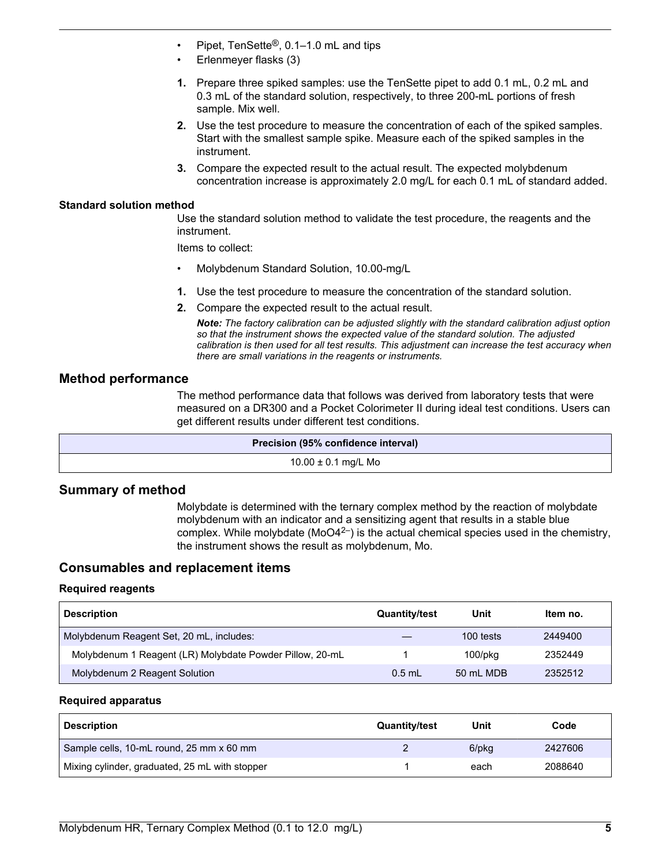- <span id="page-4-0"></span>• Pipet, TenSette®, 0.1–1.0 mL and tips
- Erlenmeyer flasks (3)
- **1.** Prepare three spiked samples: use the TenSette pipet to add 0.1 mL, 0.2 mL and 0.3 mL of the standard solution, respectively, to three 200-mL portions of fresh sample. Mix well.
- **2.** Use the test procedure to measure the concentration of each of the spiked samples. Start with the smallest sample spike. Measure each of the spiked samples in the instrument.
- **3.** Compare the expected result to the actual result. The expected molybdenum concentration increase is approximately 2.0 mg/L for each 0.1 mL of standard added.

#### **Standard solution method**

Use the standard solution method to validate the test procedure, the reagents and the instrument.

Items to collect:

- Molybdenum Standard Solution, 10.00-mg/L
- **1.** Use the test procedure to measure the concentration of the standard solution.
- **2.** Compare the expected result to the actual result.

*Note: The factory calibration can be adjusted slightly with the standard calibration adjust option so that the instrument shows the expected value of the standard solution. The adjusted calibration is then used for all test results. This adjustment can increase the test accuracy when there are small variations in the reagents or instruments.*

# **Method performance**

The method performance data that follows was derived from laboratory tests that were measured on a DR300 and a Pocket Colorimeter II during ideal test conditions. Users can get different results under different test conditions.

| Precision (95% confidence interval) |
|-------------------------------------|
| $10.00 \pm 0.1$ mg/L Mo             |

# **Summary of method**

Molybdate is determined with the ternary complex method by the reaction of molybdate molybdenum with an indicator and a sensitizing agent that results in a stable blue complex. While molybdate ( $MO4<sup>2</sup>$ ) is the actual chemical species used in the chemistry, the instrument shows the result as molybdenum, Mo.

# **Consumables and replacement items**

#### **Required reagents**

| <b>Description</b>                                       | <b>Quantity/test</b> | Unit          | Item no. |
|----------------------------------------------------------|----------------------|---------------|----------|
| Molybdenum Reagent Set, 20 mL, includes:                 |                      | 100 tests     | 2449400  |
| Molybdenum 1 Reagent (LR) Molybdate Powder Pillow, 20-mL |                      | $100$ /p $kg$ | 2352449  |
| Molybdenum 2 Reagent Solution                            | $0.5$ mL             | 50 mL MDB     | 2352512  |

#### **Required apparatus**

| <b>Description</b>                             | <b>Quantity/test</b> | Unit  | Code    |
|------------------------------------------------|----------------------|-------|---------|
| Sample cells, 10-mL round, 25 mm x 60 mm       |                      | 6/pkg | 2427606 |
| Mixing cylinder, graduated, 25 mL with stopper |                      | each  | 2088640 |